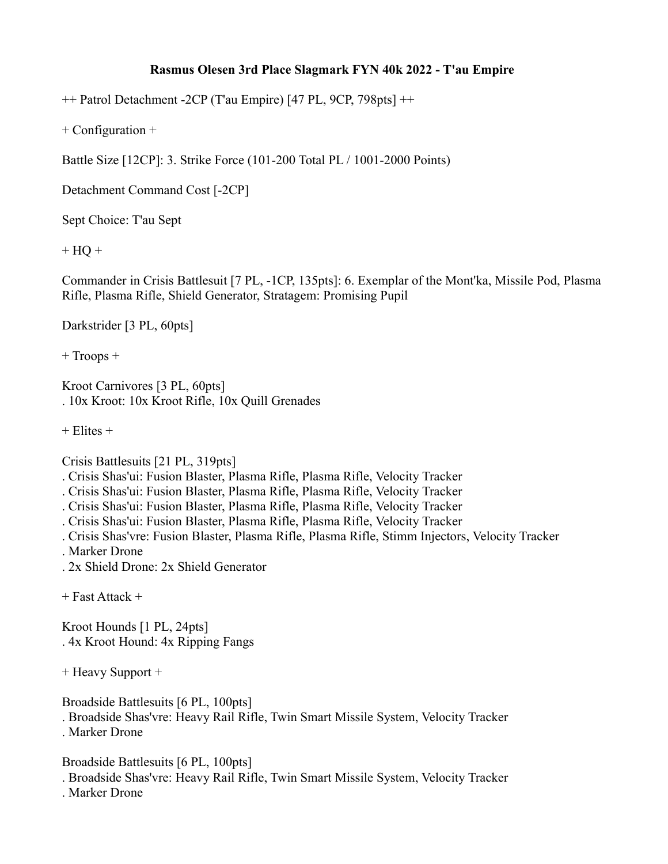## **Rasmus Olesen 3rd Place Slagmark FYN 40k 2022 - T'au Empire**

++ Patrol Detachment -2CP (T'au Empire) [47 PL, 9CP, 798pts] ++

+ Configuration +

Battle Size [12CP]: 3. Strike Force (101-200 Total PL / 1001-2000 Points)

Detachment Command Cost [-2CP]

Sept Choice: T'au Sept

 $+ HO +$ 

Commander in Crisis Battlesuit [7 PL, -1CP, 135pts]: 6. Exemplar of the Mont'ka, Missile Pod, Plasma Rifle, Plasma Rifle, Shield Generator, Stratagem: Promising Pupil

Darkstrider [3 PL, 60pts]

+ Troops +

Kroot Carnivores [3 PL, 60pts] . 10x Kroot: 10x Kroot Rifle, 10x Quill Grenades

 $+$  Elites  $+$ 

Crisis Battlesuits [21 PL, 319pts]

. Crisis Shas'ui: Fusion Blaster, Plasma Rifle, Plasma Rifle, Velocity Tracker

. Crisis Shas'ui: Fusion Blaster, Plasma Rifle, Plasma Rifle, Velocity Tracker

. Crisis Shas'ui: Fusion Blaster, Plasma Rifle, Plasma Rifle, Velocity Tracker

. Crisis Shas'ui: Fusion Blaster, Plasma Rifle, Plasma Rifle, Velocity Tracker

. Crisis Shas'vre: Fusion Blaster, Plasma Rifle, Plasma Rifle, Stimm Injectors, Velocity Tracker

. Marker Drone

. 2x Shield Drone: 2x Shield Generator

+ Fast Attack +

Kroot Hounds [1 PL, 24pts] . 4x Kroot Hound: 4x Ripping Fangs

+ Heavy Support +

Broadside Battlesuits [6 PL, 100pts]

. Broadside Shas'vre: Heavy Rail Rifle, Twin Smart Missile System, Velocity Tracker . Marker Drone

Broadside Battlesuits [6 PL, 100pts]

. Broadside Shas'vre: Heavy Rail Rifle, Twin Smart Missile System, Velocity Tracker

. Marker Drone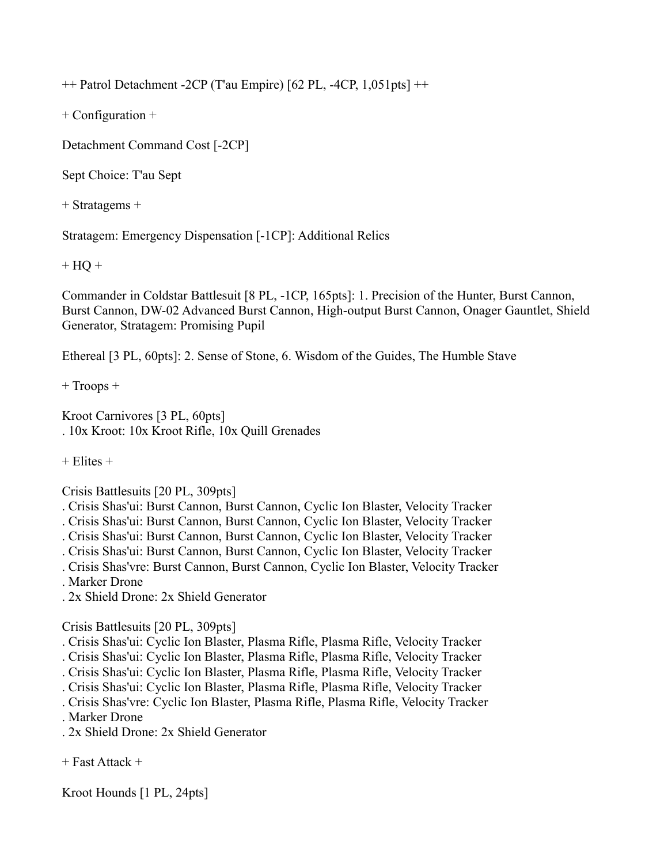++ Patrol Detachment -2CP (T'au Empire) [62 PL, -4CP, 1,051pts] ++

+ Configuration +

Detachment Command Cost [-2CP]

Sept Choice: T'au Sept

+ Stratagems +

Stratagem: Emergency Dispensation [-1CP]: Additional Relics

 $+ HQ +$ 

Commander in Coldstar Battlesuit [8 PL, -1CP, 165pts]: 1. Precision of the Hunter, Burst Cannon, Burst Cannon, DW-02 Advanced Burst Cannon, High-output Burst Cannon, Onager Gauntlet, Shield Generator, Stratagem: Promising Pupil

Ethereal [3 PL, 60pts]: 2. Sense of Stone, 6. Wisdom of the Guides, The Humble Stave

+ Troops +

Kroot Carnivores [3 PL, 60pts] . 10x Kroot: 10x Kroot Rifle, 10x Quill Grenades

 $+$  Elites  $+$ 

Crisis Battlesuits [20 PL, 309pts]

. Crisis Shas'ui: Burst Cannon, Burst Cannon, Cyclic Ion Blaster, Velocity Tracker

. Crisis Shas'ui: Burst Cannon, Burst Cannon, Cyclic Ion Blaster, Velocity Tracker

. Crisis Shas'ui: Burst Cannon, Burst Cannon, Cyclic Ion Blaster, Velocity Tracker

. Crisis Shas'ui: Burst Cannon, Burst Cannon, Cyclic Ion Blaster, Velocity Tracker

. Crisis Shas'vre: Burst Cannon, Burst Cannon, Cyclic Ion Blaster, Velocity Tracker

. Marker Drone

. 2x Shield Drone: 2x Shield Generator

Crisis Battlesuits [20 PL, 309pts]

. Crisis Shas'ui: Cyclic Ion Blaster, Plasma Rifle, Plasma Rifle, Velocity Tracker

. Crisis Shas'ui: Cyclic Ion Blaster, Plasma Rifle, Plasma Rifle, Velocity Tracker

. Crisis Shas'ui: Cyclic Ion Blaster, Plasma Rifle, Plasma Rifle, Velocity Tracker

. Crisis Shas'ui: Cyclic Ion Blaster, Plasma Rifle, Plasma Rifle, Velocity Tracker

. Crisis Shas'vre: Cyclic Ion Blaster, Plasma Rifle, Plasma Rifle, Velocity Tracker

. Marker Drone

. 2x Shield Drone: 2x Shield Generator

+ Fast Attack +

Kroot Hounds [1 PL, 24pts]